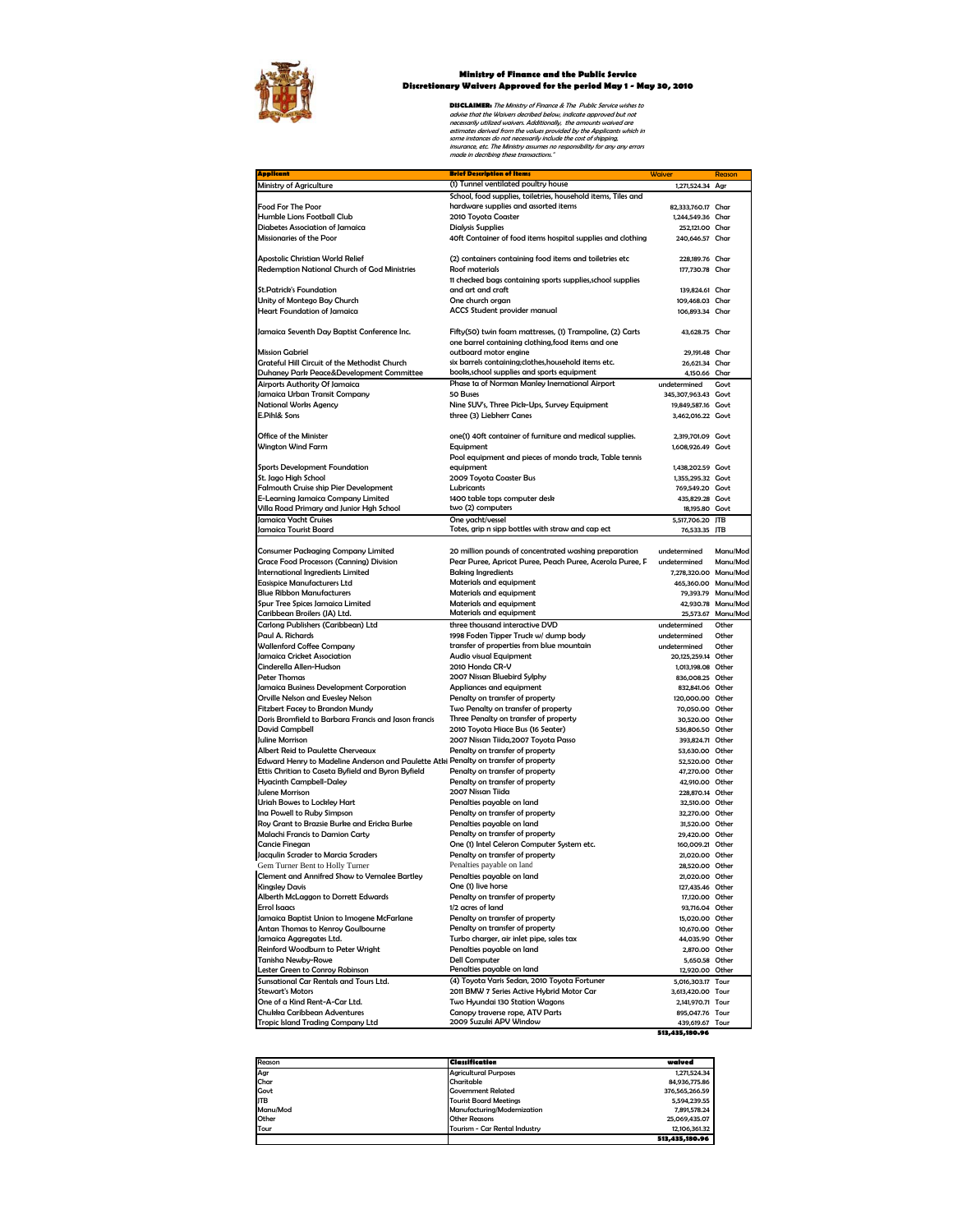

## **Ministry of Finance and the Public Service Discretionary Waivers Approved for the period May 1 - May 30, 2010**

**DISCLAIMER:** The Ministry of Finance & The Public Service wishes to<br>advise that the Waivers decribed below, indicate approved but not<br>necessarily utilized waivers. Additionally, the amounts waived are<br>estimates derived fr

| <mark>Applicant</mark>                                                              | <b>Brief Description of Items</b>                                     | Waiver                | Reason             |
|-------------------------------------------------------------------------------------|-----------------------------------------------------------------------|-----------------------|--------------------|
| Ministry of Agriculture                                                             | (1) Tunnel ventilated poultry house                                   | 1,271,524.34 Agr      |                    |
|                                                                                     | School, food supplies, toiletries, household items, Tiles and         |                       |                    |
| <b>Food For The Poor</b>                                                            | hardware supplies and assorted items                                  | 82,333,760.17 Char    |                    |
| Humble Lions Football Club                                                          | 2010 Toyota Coaster                                                   | 1,244,549.36 Char     |                    |
| Diabetes Association of Jamaica                                                     | <b>Dialysis Supplies</b>                                              | 252,121.00 Char       |                    |
| Missionaries of the Poor                                                            | 40ft Container of food items hospital supplies and clothing           | 240,646.57 Char       |                    |
|                                                                                     |                                                                       |                       |                    |
|                                                                                     |                                                                       |                       |                    |
| Apostolic Christian World Relief                                                    | (2) containers containing food items and toiletries etc               | 228,189.76 Char       |                    |
| <b>Redemption National Church of God Ministries</b>                                 | <b>Roof materials</b>                                                 | 177,730.78 Char       |                    |
|                                                                                     | 11 checked bags containing sports supplies, school supplies           |                       |                    |
| <b>St. Patrick's Foundation</b>                                                     | and art and craft                                                     | 139,824.61 Char       |                    |
| Unity of Montego Bay Church                                                         | One church organ                                                      | 109,468.03 Char       |                    |
| <b>Heart Foundation of Jamaica</b>                                                  | <b>ACCS Student provider manual</b>                                   | 106,893.34 Char       |                    |
|                                                                                     |                                                                       |                       |                    |
| Jamaica Seventh Day Baptist Conference Inc.                                         | Fifty(50) twin foam mattresses, (1) Trampoline, (2) Carts             | 43,628.75 Char        |                    |
|                                                                                     | one barrel containing clothing, food items and one                    |                       |                    |
| <b>Mission Gabriel</b>                                                              | outboard motor engine                                                 | 29,191.48 Char        |                    |
| Grateful Hill Circuit of the Methodist Church                                       | six barrels containing; clothes, household items etc.                 | 26,621.34 Char        |                    |
| Duhaney Park Peace&Development Committee                                            | books, school supplies and sports equipment                           | 4,150.66 Char         |                    |
| Airports Authority Of Jamaica                                                       | Phase 1a of Norman Manley Inernational Airport                        | undetermined          | Govt               |
|                                                                                     |                                                                       |                       |                    |
| Jamaica Urban Transit Company                                                       | 50 Buses                                                              | 345,307,963.43 Govt   |                    |
| <b>National Works Agency</b>                                                        | Nine SUV's, Three Pick-Ups, Survey Equipment                          | 19,849,587.16 Govt    |                    |
| E.Pihl& Sons                                                                        | three (3) Liebherr Canes                                              | 3,462,016.22 Govt     |                    |
|                                                                                     |                                                                       |                       |                    |
| Office of the Minister                                                              | one(1) 40ft container of furniture and medical supplies.              | 2,319,701.09 Govt     |                    |
| Wington Wind Farm                                                                   | Equipment                                                             | 1,608,926.49 Govt     |                    |
|                                                                                     | Pool equipment and pieces of mondo track, Table tennis                |                       |                    |
| <b>Sports Development Foundation</b>                                                | equipment                                                             | 1,438,202.59 Govt     |                    |
| St. Jago High School                                                                | 2009 Toyota Coaster Bus                                               | 1,355,295.32 Govt     |                    |
| Falmouth Cruise ship Pier Development                                               | Lubricants                                                            | 769,549.20 Govt       |                    |
| E-Learning Jamaica Company Limited                                                  | 1400 table tops computer desk                                         | 435,829.28 Govt       |                    |
| Villa Road Primary and Junior Hgh School                                            | two (2) computers                                                     | 18,195.80 Govt        |                    |
| Jamaica Yacht Cruises                                                               |                                                                       |                       |                    |
|                                                                                     | One yacht/vessel<br>Totes, grip n sipp bottles with straw and cap ect | 5,517,706.20 JTB      |                    |
| Jamaica Tourist Board                                                               |                                                                       | 76,533.35 JTB         |                    |
|                                                                                     |                                                                       |                       |                    |
| <b>Consumer Packaging Company Limited</b>                                           | 20 million pounds of concentrated washing preparation                 | undetermined          | Manu/Mod           |
| <b>Grace Food Processors (Canning) Division</b>                                     | Pear Puree, Apricot Puree, Peach Puree, Acerola Puree, F              | undetermined          | Manu/Mod           |
| <b>International Ingredients Limited</b>                                            | <b>Baking Ingredients</b>                                             | 7,278,320.00 Manu/Mod |                    |
| <b>Easispice Manufacturers Ltd</b>                                                  | Materials and equipment                                               | 465,360.00 Manu/Mod   |                    |
| <b>Blue Ribbon Manufacturers</b>                                                    | Materials and equipment                                               |                       | 79,393.79 Manu/Mod |
| Spur Tree Spices Jamaica Limited                                                    | Materials and equipment                                               |                       | 42,930.78 Manu/Mod |
| Caribbean Broilers (JA) Ltd.                                                        | Materials and equipment                                               |                       | 25,573.67 Manu/Mod |
| Carlong Publishers (Caribbean) Ltd                                                  | three thousand interactive DVD                                        | undetermined          | Other              |
| Paul A. Richards                                                                    | 1998 Foden Tipper Truck w/ dump body                                  | undetermined          | Other              |
| <b>Wallenford Coffee Company</b>                                                    | transfer of properties from blue mountain                             | undetermined          | Other              |
| Jamaica Cricket Association                                                         |                                                                       |                       |                    |
|                                                                                     | <b>Audio visual Equipment</b>                                         | 20,125,259.14 Other   |                    |
| Cinderella Allen-Hudson                                                             | 2010 Honda CR-V                                                       | 1,013,198.08 Other    |                    |
| <b>Peter Thomas</b>                                                                 | 2007 Nissan Bluebird Sylphy                                           | 836,008.25 Other      |                    |
| Jamaica Business Development Corporation                                            | Appliances and equipment                                              | 832,841.06 Other      |                    |
| Orville Nelson and Evesley Nelson                                                   | Penalty on transfer of property                                       | 120,000.00 Other      |                    |
| <b>Fitzbert Facey to Brandon Mundy</b>                                              | Two Penalty on transfer of property                                   | 70,050.00 Other       |                    |
| Doris Bromfield to Barbara Francis and Jason francis                                | Three Penalty on transfer of property                                 | 30,520.00 Other       |                    |
| <b>David Campbell</b>                                                               | 2010 Toyota Hiace Bus (16 Seater)                                     | 536,806.50 Other      |                    |
| Juline Morrison                                                                     | 2007 Nissan Tiida, 2007 Toyota Passo                                  | 393,824.71 Other      |                    |
| <b>Albert Reid to Paulette Cherveaux</b>                                            | Penalty on transfer of property                                       | 53,630.00 Other       |                    |
| Edward Henry to Madeline Anderson and Paulette Atki Penalty on transfer of property |                                                                       | 52,520.00 Other       |                    |
| Ettis Chritian to Caseta Byfield and Byron Byfield                                  | Penalty on transfer of property                                       | 47,270.00 Other       |                    |
| Hyacinth Campbell-Daley                                                             | Penalty on transfer of property                                       | 42,910.00 Other       |                    |
| Julene Morrison                                                                     | 2007 Nissan Tiida                                                     | 228,870.14 Other      |                    |
| Uriah Bowes to Lockley Hart                                                         |                                                                       | 32,510.00 Other       |                    |
|                                                                                     | Penalties payable on land                                             |                       |                    |
| Ina Powell to Ruby Simpson                                                          | Penalty on transfer of property                                       | 32,270.00 Other       |                    |
| Roy Grant to Brazsie Burke and Ericka Burke                                         | Penalties payable on land                                             | 31,520.00 Other       |                    |
| <b>Malachi Francis to Damion Carty</b>                                              | Penalty on transfer of property                                       | 29,420.00 Other       |                    |
| <b>Cancie Finegan</b>                                                               | One (1) Intel Celeron Computer System etc.                            | 160,009.21 Other      |                    |
| Jacqulin Scrader to Marcia Scraders                                                 | Penalty on transfer of property                                       | 21,020.00 Other       |                    |
| Gem Turner Bent to Holly Turner                                                     | Penalties payable on land                                             | 28,520,00 Other       |                    |
| Clement and Annifred Shaw to Vernalee Bartley                                       | Penalties payable on land                                             | 21,020.00 Other       |                    |
| <b>Kinaslev Davis</b>                                                               | One (1) live horse                                                    | 127,435.46 Other      |                    |
| Alberth McLaggon to Dorrett Edwards                                                 | Penalty on transfer of property                                       | 17,120.00 Other       |                    |
| <b>Errol Isaacs</b>                                                                 | 1/2 acres of land                                                     | 93,716.04 Other       |                    |
| Jamaica Baptist Union to Imogene McFarlane                                          | Penalty on transfer of property                                       | 15,020.00 Other       |                    |
|                                                                                     | Penalty on transfer of property                                       | 10.670.00 Other       |                    |
| Antan Thomas to Kenroy Goulbourne                                                   |                                                                       |                       |                    |
| Jamaica Aggregates Ltd.                                                             | Turbo charger, air inlet pipe, sales tax                              | 44,035.90 Other       |                    |
| Reinford Woodburn to Peter Wright                                                   | Penalties payable on land                                             | 2.870.00 Other        |                    |
| Tanisha Newby-Rowe                                                                  | <b>Dell Computer</b>                                                  | 5,650.58 Other        |                    |
| ester Green to Conroy Robinson                                                      | Penalties payable on land                                             | 12,920.00 Other       |                    |
| Sunsational Car Rentals and Tours Ltd.                                              | (4) Toyota Yaris Sedan, 2010 Toyota Fortuner                          | 5,016,303.17 Tour     |                    |
| <b>Stewart's Motors</b>                                                             | 2011 BMW 7 Series Active Hybrid Motor Car                             | 3,613,420.00 Tour     |                    |
| One of a Kind Rent-A-Car Ltd.                                                       | Two Hyundai 130 Station Wagons                                        | 2,141,970.71 Tour     |                    |
| Chukka Caribbean Adventures                                                         | Canopy traverse rope, ATV Parts                                       | 895.047.76 Tour       |                    |
| Tropic Island Trading Company Ltd                                                   | 2009 Suzuki APV Window                                                | 439,619.67 Tour       |                    |
|                                                                                     |                                                                       | 513,435,180.96        |                    |
|                                                                                     |                                                                       |                       |                    |

| Reason     | Classification                | waived         |
|------------|-------------------------------|----------------|
| Agr        | <b>Agricultural Purposes</b>  | 1,271,524.34   |
| Char       | Charitable                    | 84,936,775,86  |
| Govt       | <b>Government Related</b>     | 376.565.266.59 |
| <b>JTB</b> | <b>Tourist Board Meetings</b> | 5.594.239.55   |
| Manu/Mod   | Manufacturina/Modernization   | 7.891.578.24   |
| Other      | <b>Other Reasons</b>          | 25.069.435.07  |
| Tour       | Tourism - Car Rental Industry | 12.106.361.32  |
|            |                               | 513,435,180,96 |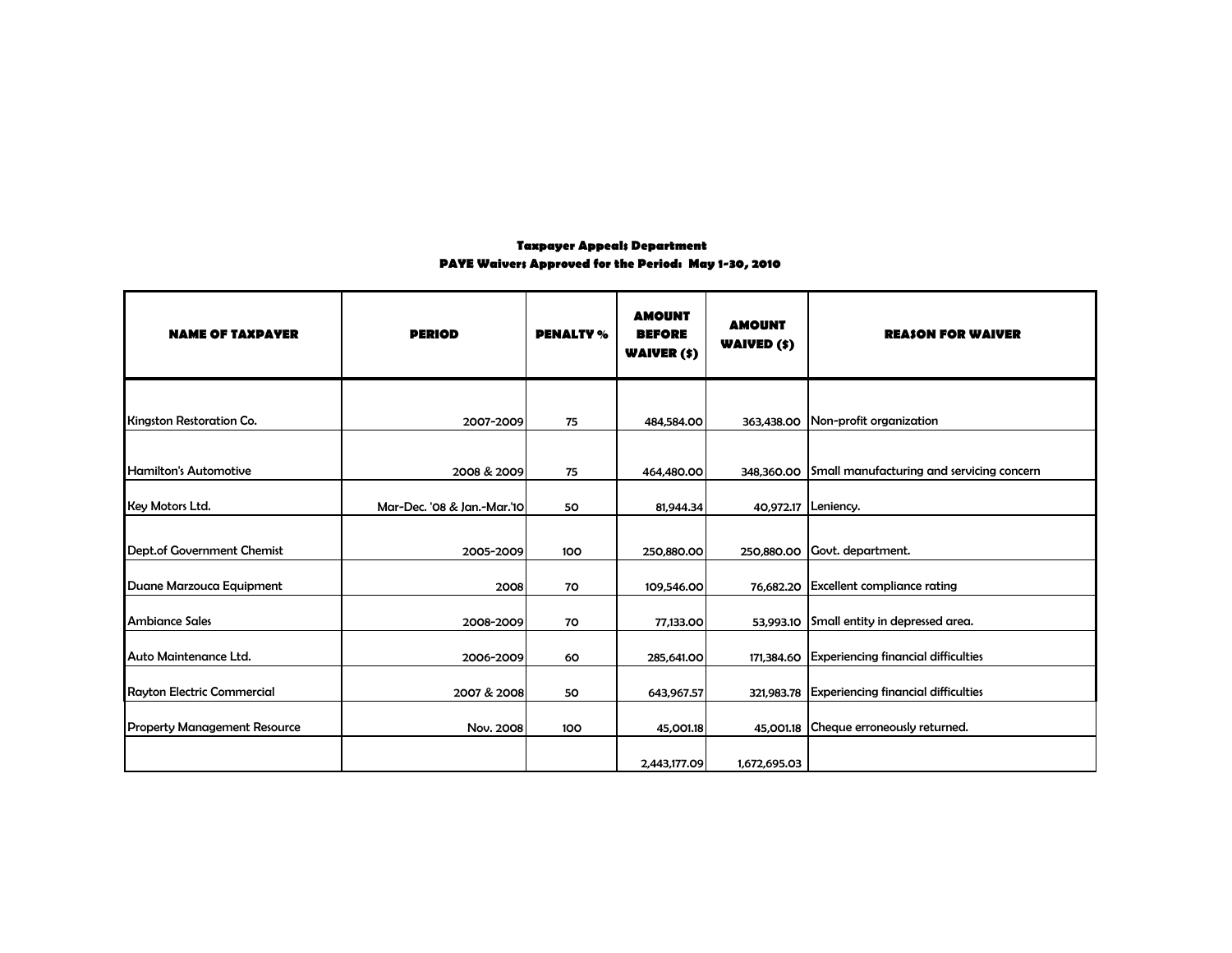## **Taxpayer Appeals Department PAYE Waivers Approved for the Period: May 1-30, 2010**

| <b>NAME OF TAXPAYER</b>             | <b>PERIOD</b>               | <b>PENALTY %</b> | <b>AMOUNT</b><br><b>BEFORE</b><br><b>WAIVER (\$)</b> | <b>AMOUNT</b><br><b>WAIVED (\$)</b> | <b>REASON FOR WAIVER</b>                   |
|-------------------------------------|-----------------------------|------------------|------------------------------------------------------|-------------------------------------|--------------------------------------------|
|                                     |                             |                  |                                                      |                                     |                                            |
| <b>Kingston Restoration Co.</b>     | 2007-2009                   | 75               | 484,584.00                                           | 363,438.00                          | Non-profit organization                    |
| Hamilton's Automotive               | 2008 & 2009                 | 75               | 464,480.00                                           | 348,360.00                          | Small manufacturing and servicing concern  |
| Key Motors Ltd.                     | Mar-Dec. '08 & Jan.-Mar.'10 | 50               | 81,944.34                                            |                                     | 40,972.17 Leniency.                        |
| Dept.of Government Chemist          | 2005-2009                   | 100              | 250,880.00                                           | 250,880.00                          | Govt. department.                          |
| Duane Marzouca Equipment            | 2008                        | 70               | 109,546.00                                           |                                     | 76,682.20 Excellent compliance rating      |
| <b>Ambiance Sales</b>               | 2008-2009                   | 70               | 77,133.00                                            | 53,993.10                           | Small entity in depressed area.            |
| Auto Maintenance Ltd.               | 2006-2009                   | 60               | 285,641.00                                           | 171,384.60                          | <b>Experiencing financial difficulties</b> |
| <b>Rayton Electric Commercial</b>   | 2007 & 2008                 | 50               | 643,967.57                                           | 321,983.78                          | <b>Experiencing financial difficulties</b> |
| <b>Property Management Resource</b> | Nov. 2008                   | 100              | 45,001.18                                            | 45,001.18                           | Cheque erroneously returned.               |
|                                     |                             |                  | 2,443,177.09                                         | 1,672,695.03                        |                                            |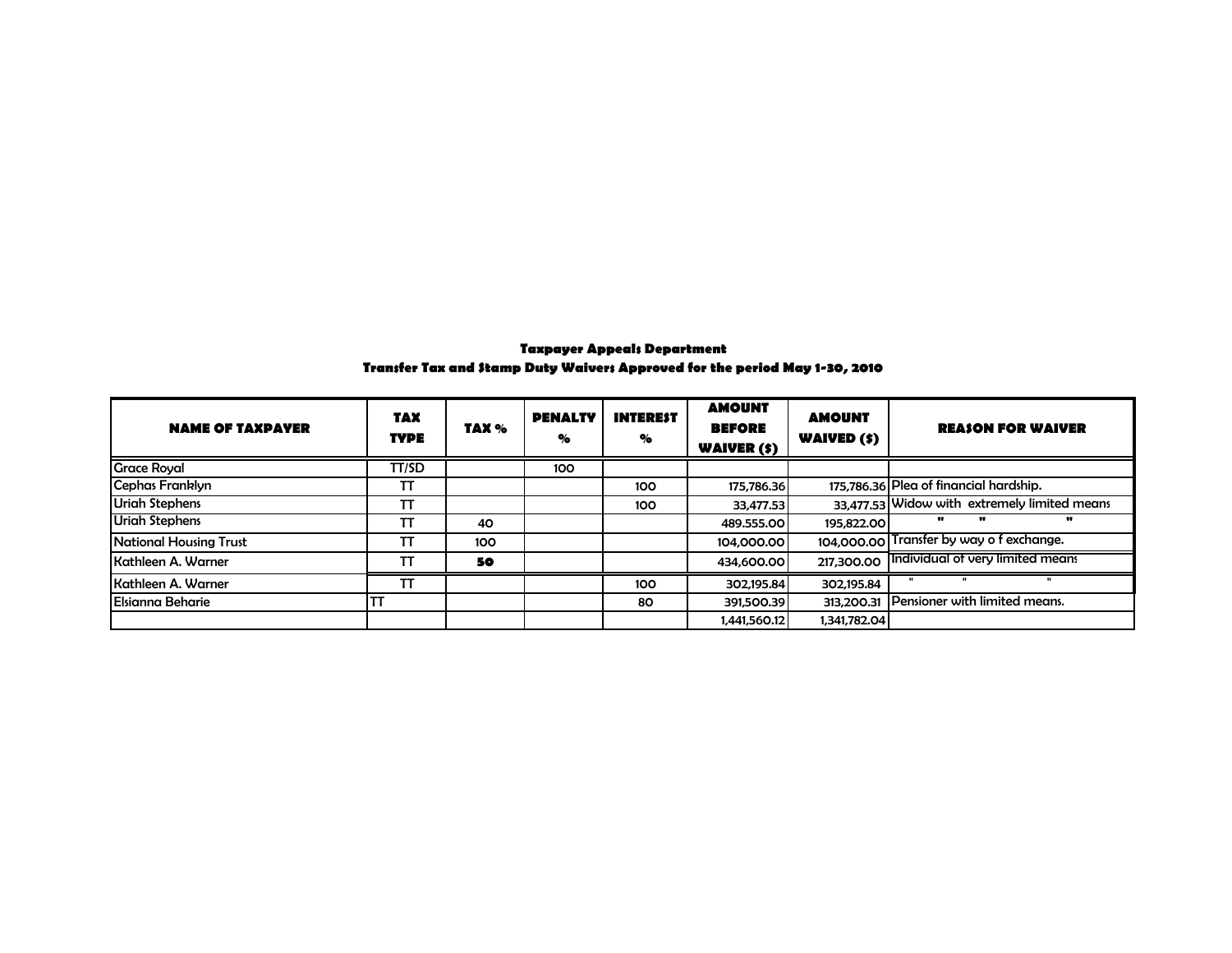## **Taxpayer Appeals Department Transfer Tax and Stamp Duty Waivers Approved for the period May 1-30, 2010**

| <b>NAME OF TAXPAYER</b> | <b>TAX</b><br><b>TYPE</b> | TAX % | <b>PENALTY</b><br>% | <b>INTEREST</b><br>% | <b>AMOUNT</b><br><b>BEFORE</b><br><b>WAIVER (\$)</b> | <b>AMOUNT</b><br>WAIVED (\$) | <b>REASON FOR WAIVER</b>                     |
|-------------------------|---------------------------|-------|---------------------|----------------------|------------------------------------------------------|------------------------------|----------------------------------------------|
| <b>Grace Royal</b>      | TT/SD                     |       | 100                 |                      |                                                      |                              |                                              |
| Cephas Franklyn         | TT                        |       |                     | 100                  | 175,786.36                                           |                              | 175,786.36 Plea of financial hardship.       |
| <b>Uriah Stephens</b>   | ТΤ                        |       |                     | 100                  | 33,477.53                                            |                              | 33,477.53 Widow with extremely limited means |
| <b>Uriah Stephens</b>   | TT                        | 40    |                     |                      | 489.555.00                                           | 195.822.00                   | $\mathbf{u}$<br>w<br>                        |
| National Housing Trust  | TT                        | 100   |                     |                      | 104,000,00                                           |                              | 104,000.00 Transfer by way of exchange.      |
| Kathleen A. Warner      | ТΤ                        | 50    |                     |                      | 434,600.00                                           | 217,300.00                   | Individual of very limited means             |
| Kathleen A. Warner      | ТT                        |       |                     | 100                  | 302,195.84                                           | 302,195.84                   |                                              |
| <b>Elsianna Beharie</b> | TT                        |       |                     | 80                   | 391,500.39                                           | 313.200.31                   | Pensioner with limited means.                |
|                         |                           |       |                     |                      | 1.441.560.12                                         | 1.341.782.04                 |                                              |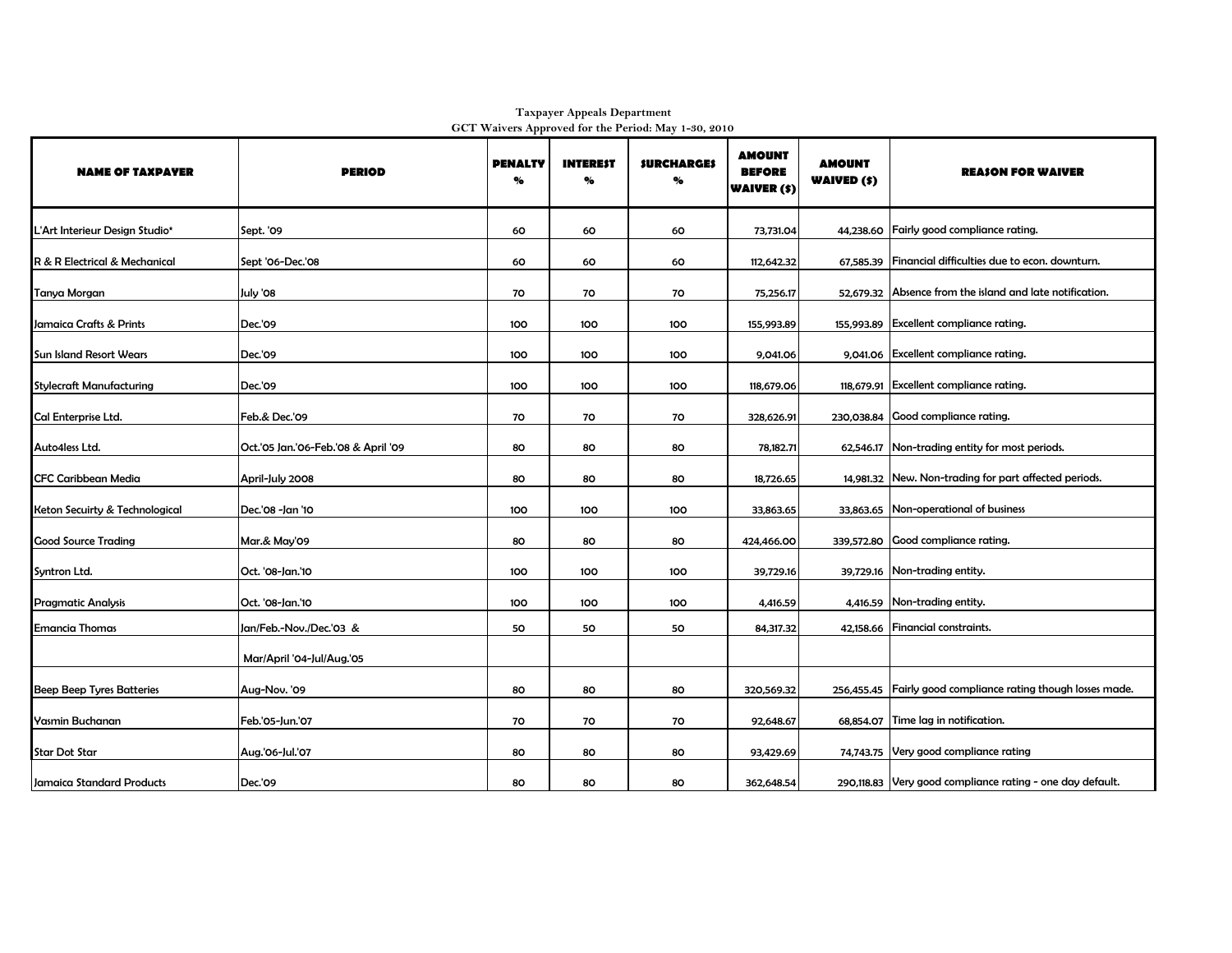| <b>NAME OF TAXPAYER</b>          | <b>PERIOD</b>                       | <b>PENALTY</b><br>% | <b>INTEREST</b><br>% | <b>SURCHARGES</b><br>% | <b>AMOUNT</b><br><b>BEFORE</b><br><b>WAIVER (\$)</b> | <b>AMOUNT</b><br><b>WAIVED (\$)</b> | <b>REASON FOR WAIVER</b>                                       |
|----------------------------------|-------------------------------------|---------------------|----------------------|------------------------|------------------------------------------------------|-------------------------------------|----------------------------------------------------------------|
| L'Art Interieur Design Studio*   | Sept. '09                           | 60                  | 60                   | 60                     | 73,731.04                                            |                                     | 44,238.60 Fairly good compliance rating.                       |
| R & R Electrical & Mechanical    | Sept '06-Dec.'08                    | 60                  | 60                   | 60                     | 112.642.32                                           | 67.585.39                           | Financial difficulties due to econ. downturn.                  |
| Tanya Morgan                     | July '08                            | 70                  | 70                   | 70                     | 75,256.17                                            |                                     | 52,679.32 Absence from the island and late notification.       |
| Jamaica Crafts & Prints          | Dec.'09                             | 100                 | 100                  | 100                    | 155,993.89                                           |                                     | 155,993.89 Excellent compliance rating.                        |
| <b>Sun Island Resort Wears</b>   | Dec.'09                             | 100                 | 100                  | 100                    | 9,041.06                                             |                                     | 9,041.06 Excellent compliance rating.                          |
| <b>Stylecraft Manufacturing</b>  | Dec.'09                             | 100                 | 100                  | 100                    | 118,679.06                                           |                                     | 118,679.91 Excellent compliance rating.                        |
| Cal Enterprise Ltd.              | Feb.& Dec.'09                       | 70                  | 70                   | 70                     | 328,626.91                                           |                                     | 230,038.84 Good compliance rating.                             |
| Auto4less Ltd.                   | Oct.'05 Jan.'06-Feb.'08 & April '09 | 80                  | 80                   | 80                     | 78,182.71                                            |                                     | 62,546.17 Non-trading entity for most periods.                 |
| <b>CFC Caribbean Media</b>       | April-July 2008                     | 80                  | 80                   | 80                     | 18,726.65                                            |                                     | 14,981.32 New. Non-trading for part affected periods.          |
| Keton Secuirty & Technological   | Dec.'08 -Jan '10                    | 100                 | 100                  | 100                    | 33,863.65                                            |                                     | 33,863.65 Non-operational of business                          |
| <b>Good Source Trading</b>       | Mar.& May'09                        | 80                  | 80                   | 80                     | 424,466.00                                           |                                     | 339,572.80 Good compliance rating.                             |
| Syntron Ltd.                     | Oct. '08-Jan.'10                    | 100                 | 100                  | 100                    | 39,729.16                                            |                                     | 39,729.16 Non-trading entity.                                  |
| <b>Pragmatic Analysis</b>        | Oct. '08-Jan.'10                    | 100                 | 100                  | 100                    | 4,416.59                                             |                                     | 4,416.59 Non-trading entity.                                   |
| Emancia Thomas                   | Jan/Feb.-Nov./Dec.'03 &             | 50                  | 50                   | 50                     | 84,317.32                                            |                                     | 42,158.66 Financial constraints.                               |
|                                  | Mar/April '04-Jul/Aug.'05           |                     |                      |                        |                                                      |                                     |                                                                |
| <b>Beep Beep Tyres Batteries</b> | Aug-Nov. '09                        | 80                  | 80                   | 80                     | 320,569.32                                           |                                     | 256,455.45   Fairly good compliance rating though losses made. |
| Yasmin Buchanan                  | Feb.'05-Jun.'07                     | 70                  | 70                   | 70                     | 92,648.67                                            |                                     | 68,854.07 Time lag in notification.                            |
| <b>Star Dot Star</b>             | Aug.'06-Jul.'07                     | 80                  | 80                   | 80                     | 93,429.69                                            |                                     | 74,743.75 Very good compliance rating                          |
| Jamaica Standard Products        | Dec.'09                             | 80                  | 80                   | 80                     | 362,648.54                                           |                                     | 290,118.83 Very good compliance rating - one day default.      |

**Taxpayer Appeals Department GCT Waivers Approved for the Period: May 1-30, 2010**